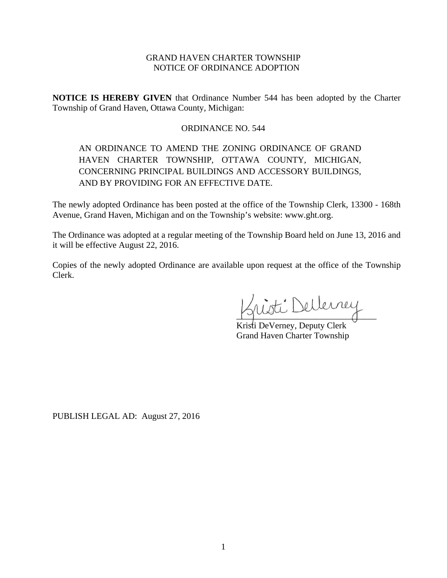# GRAND HAVEN CHARTER TOWNSHIP NOTICE OF ORDINANCE ADOPTION

**NOTICE IS HEREBY GIVEN** that Ordinance Number 544 has been adopted by the Charter Township of Grand Haven, Ottawa County, Michigan:

# ORDINANCE NO. 544

# AN ORDINANCE TO AMEND THE ZONING ORDINANCE OF GRAND HAVEN CHARTER TOWNSHIP, OTTAWA COUNTY, MICHIGAN, CONCERNING PRINCIPAL BUILDINGS AND ACCESSORY BUILDINGS, AND BY PROVIDING FOR AN EFFECTIVE DATE.

The newly adopted Ordinance has been posted at the office of the Township Clerk, 13300 - 168th Avenue, Grand Haven, Michigan and on the Township's website: www.ght.org.

The Ordinance was adopted at a regular meeting of the Township Board held on June 13, 2016 and it will be effective August 22, 2016.

Copies of the newly adopted Ordinance are available upon request at the office of the Township Clerk.

Dellerrey  $\frac{1}{2}$ 

Kristi DeVerney, Deputy Clerk Grand Haven Charter Township

PUBLISH LEGAL AD: August 27, 2016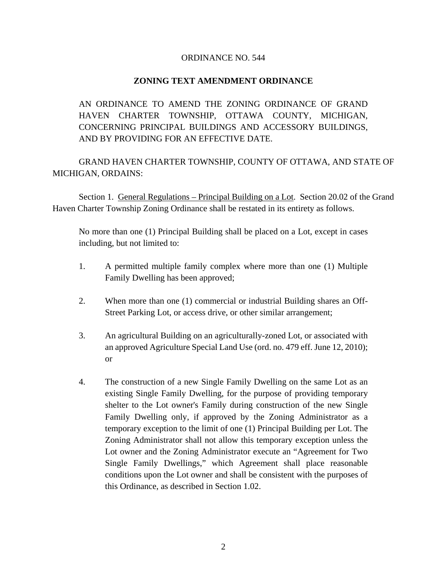### ORDINANCE NO. 544

# **ZONING TEXT AMENDMENT ORDINANCE**

AN ORDINANCE TO AMEND THE ZONING ORDINANCE OF GRAND HAVEN CHARTER TOWNSHIP, OTTAWA COUNTY, MICHIGAN, CONCERNING PRINCIPAL BUILDINGS AND ACCESSORY BUILDINGS, AND BY PROVIDING FOR AN EFFECTIVE DATE.

GRAND HAVEN CHARTER TOWNSHIP, COUNTY OF OTTAWA, AND STATE OF MICHIGAN, ORDAINS:

Section 1. General Regulations – Principal Building on a Lot. Section 20.02 of the Grand Haven Charter Township Zoning Ordinance shall be restated in its entirety as follows.

No more than one (1) Principal Building shall be placed on a Lot, except in cases including, but not limited to:

- 1. A permitted multiple family complex where more than one (1) Multiple Family Dwelling has been approved;
- 2. When more than one (1) commercial or industrial Building shares an Off-Street Parking Lot, or access drive, or other similar arrangement;
- 3. An agricultural Building on an agriculturally-zoned Lot, or associated with an approved Agriculture Special Land Use (ord. no. 479 eff. June 12, 2010); or
- 4. The construction of a new Single Family Dwelling on the same Lot as an existing Single Family Dwelling, for the purpose of providing temporary shelter to the Lot owner's Family during construction of the new Single Family Dwelling only, if approved by the Zoning Administrator as a temporary exception to the limit of one (1) Principal Building per Lot. The Zoning Administrator shall not allow this temporary exception unless the Lot owner and the Zoning Administrator execute an "Agreement for Two Single Family Dwellings," which Agreement shall place reasonable conditions upon the Lot owner and shall be consistent with the purposes of this Ordinance, as described in Section 1.02.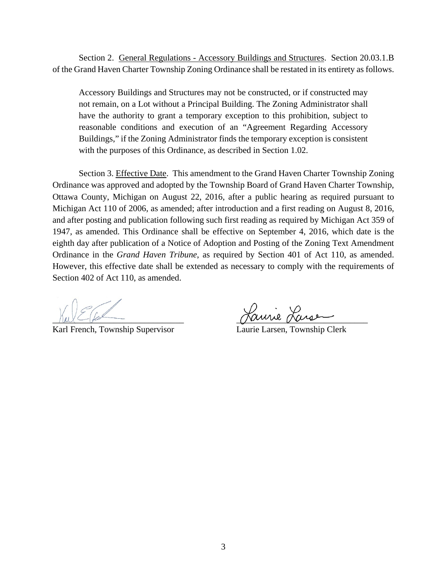Section 2. General Regulations - Accessory Buildings and Structures. Section 20.03.1.B of the Grand Haven Charter Township Zoning Ordinance shall be restated in its entirety as follows.

Accessory Buildings and Structures may not be constructed, or if constructed may not remain, on a Lot without a Principal Building. The Zoning Administrator shall have the authority to grant a temporary exception to this prohibition, subject to reasonable conditions and execution of an "Agreement Regarding Accessory Buildings," if the Zoning Administrator finds the temporary exception is consistent with the purposes of this Ordinance, as described in Section 1.02.

Section 3. Effective Date. This amendment to the Grand Haven Charter Township Zoning Ordinance was approved and adopted by the Township Board of Grand Haven Charter Township, Ottawa County, Michigan on August 22, 2016, after a public hearing as required pursuant to Michigan Act 110 of 2006, as amended; after introduction and a first reading on August 8, 2016, and after posting and publication following such first reading as required by Michigan Act 359 of 1947, as amended. This Ordinance shall be effective on September 4, 2016, which date is the eighth day after publication of a Notice of Adoption and Posting of the Zoning Text Amendment Ordinance in the *Grand Haven Tribune*, as required by Section 401 of Act 110, as amended. However, this effective date shall be extended as necessary to comply with the requirements of Section 402 of Act 110, as amended.

Karl French, Township Supervisor

Laurie Larsen, Township Clerk